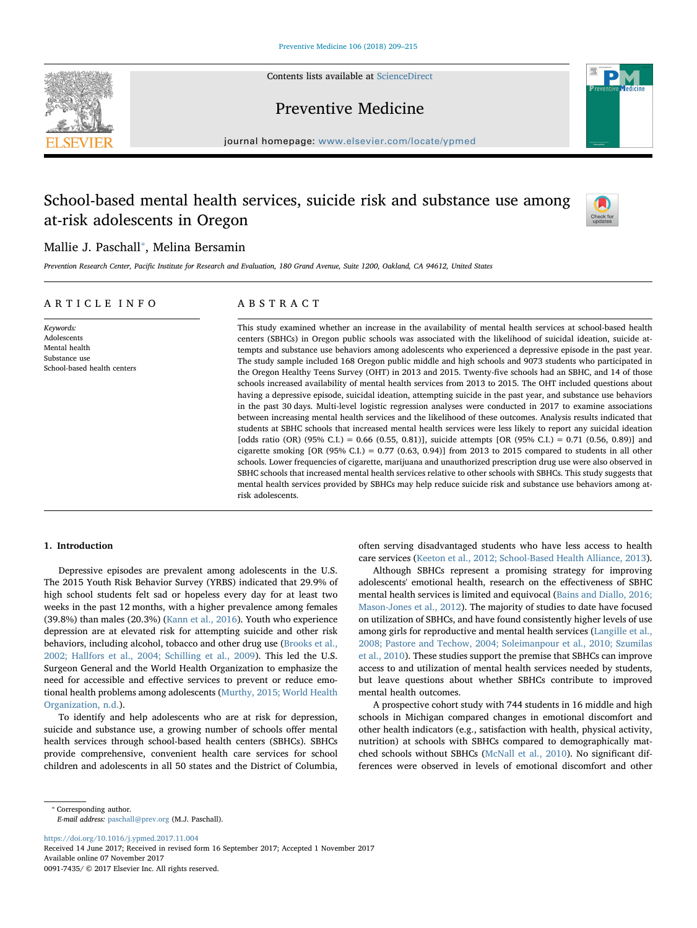Contents lists available at [ScienceDirect](http://www.sciencedirect.com/science/journal/00917435)





## Preventive Medicine

journal homepage: [www.elsevier.com/locate/ypmed](https://www.elsevier.com/locate/ypmed)

# School-based mental health services, suicide risk and substance use among at-risk adolescents in Oregon



## Mallie J. Paschall<sup>\*</sup>, Melina Bersamin

Prevention Research Center, Pacific Institute for Research and Evaluation, 180 Grand Avenue, Suite 1200, Oakland, CA 94612, United States

## ARTICLE INFO

Keywords: Adolescents Mental health Substance use School-based health centers

## ABSTRACT

This study examined whether an increase in the availability of mental health services at school-based health centers (SBHCs) in Oregon public schools was associated with the likelihood of suicidal ideation, suicide attempts and substance use behaviors among adolescents who experienced a depressive episode in the past year. The study sample included 168 Oregon public middle and high schools and 9073 students who participated in the Oregon Healthy Teens Survey (OHT) in 2013 and 2015. Twenty-five schools had an SBHC, and 14 of those schools increased availability of mental health services from 2013 to 2015. The OHT included questions about having a depressive episode, suicidal ideation, attempting suicide in the past year, and substance use behaviors in the past 30 days. Multi-level logistic regression analyses were conducted in 2017 to examine associations between increasing mental health services and the likelihood of these outcomes. Analysis results indicated that students at SBHC schools that increased mental health services were less likely to report any suicidal ideation [odds ratio (OR) (95% C.I.) = 0.66 (0.55, 0.81)], suicide attempts [OR (95% C.I.) = 0.71 (0.56, 0.89)] and cigarette smoking  $[OR (95\% C.I.) = 0.77 (0.63, 0.94)]$  from 2013 to 2015 compared to students in all other schools. Lower frequencies of cigarette, marijuana and unauthorized prescription drug use were also observed in SBHC schools that increased mental health services relative to other schools with SBHCs. This study suggests that mental health services provided by SBHCs may help reduce suicide risk and substance use behaviors among atrisk adolescents.

#### 1. Introduction

Depressive episodes are prevalent among adolescents in the U.S. The 2015 Youth Risk Behavior Survey (YRBS) indicated that 29.9% of high school students felt sad or hopeless every day for at least two weeks in the past 12 months, with a higher prevalence among females (39.8%) than males (20.3%) ([Kann et al., 2016\)](#page-6-0). Youth who experience depression are at elevated risk for attempting suicide and other risk behaviors, including alcohol, tobacco and other drug use ([Brooks et al.,](#page-6-1) [2002; Hallfors et al., 2004; Schilling et al., 2009](#page-6-1)). This led the U.S. Surgeon General and the World Health Organization to emphasize the need for accessible and effective services to prevent or reduce emotional health problems among adolescents [\(Murthy, 2015; World Health](#page-6-2) [Organization, n.d.\)](#page-6-2).

To identify and help adolescents who are at risk for depression, suicide and substance use, a growing number of schools offer mental health services through school-based health centers (SBHCs). SBHCs provide comprehensive, convenient health care services for school children and adolescents in all 50 states and the District of Columbia, often serving disadvantaged students who have less access to health care services [\(Keeton et al., 2012; School-Based Health Alliance, 2013](#page-6-3)).

Although SBHCs represent a promising strategy for improving adolescents' emotional health, research on the effectiveness of SBHC mental health services is limited and equivocal ([Bains and Diallo, 2016;](#page-6-4) [Mason-Jones et al., 2012](#page-6-4)). The majority of studies to date have focused on utilization of SBHCs, and have found consistently higher levels of use among girls for reproductive and mental health services ([Langille et al.,](#page-6-5) [2008; Pastore and Techow, 2004; Soleimanpour et al., 2010; Szumilas](#page-6-5) [et al., 2010\)](#page-6-5). These studies support the premise that SBHCs can improve access to and utilization of mental health services needed by students, but leave questions about whether SBHCs contribute to improved mental health outcomes.

A prospective cohort study with 744 students in 16 middle and high schools in Michigan compared changes in emotional discomfort and other health indicators (e.g., satisfaction with health, physical activity, nutrition) at schools with SBHCs compared to demographically matched schools without SBHCs ([McNall et al., 2010](#page-6-6)). No significant differences were observed in levels of emotional discomfort and other

E-mail address: [paschall@prev.org](mailto:paschall@prev.org) (M.J. Paschall).

<https://doi.org/10.1016/j.ypmed.2017.11.004>

Received 14 June 2017; Received in revised form 16 September 2017; Accepted 1 November 2017 Available online 07 November 2017 0091-7435/ © 2017 Elsevier Inc. All rights reserved.

<span id="page-0-0"></span><sup>⁎</sup> Corresponding author.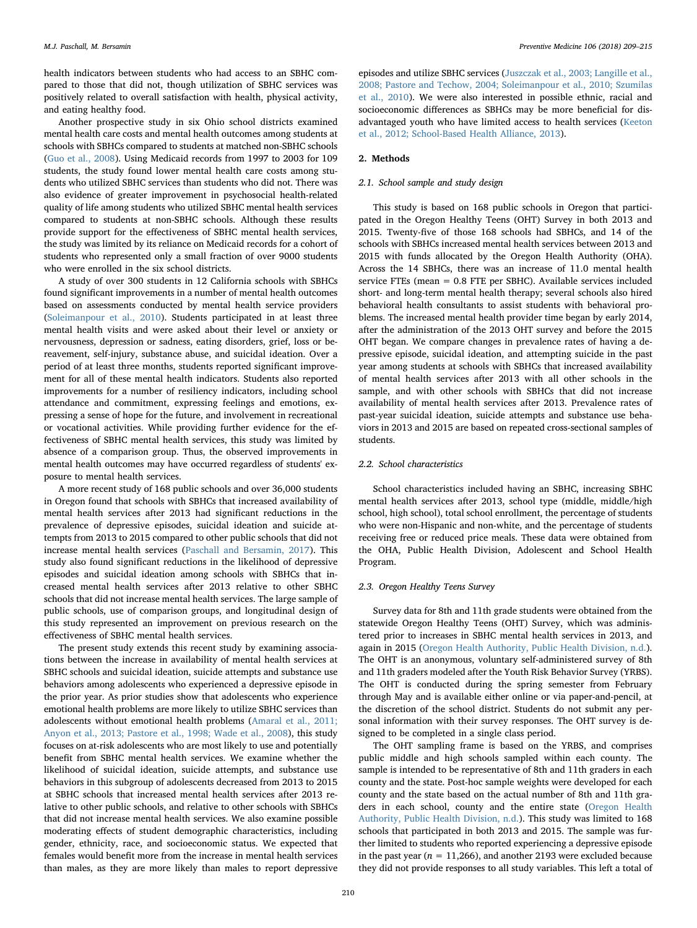health indicators between students who had access to an SBHC compared to those that did not, though utilization of SBHC services was positively related to overall satisfaction with health, physical activity, and eating healthy food.

Another prospective study in six Ohio school districts examined mental health care costs and mental health outcomes among students at schools with SBHCs compared to students at matched non-SBHC schools ([Guo et al., 2008](#page-6-7)). Using Medicaid records from 1997 to 2003 for 109 students, the study found lower mental health care costs among students who utilized SBHC services than students who did not. There was also evidence of greater improvement in psychosocial health-related quality of life among students who utilized SBHC mental health services compared to students at non-SBHC schools. Although these results provide support for the effectiveness of SBHC mental health services, the study was limited by its reliance on Medicaid records for a cohort of students who represented only a small fraction of over 9000 students who were enrolled in the six school districts.

A study of over 300 students in 12 California schools with SBHCs found significant improvements in a number of mental health outcomes based on assessments conducted by mental health service providers ([Soleimanpour et al., 2010\)](#page-6-8). Students participated in at least three mental health visits and were asked about their level or anxiety or nervousness, depression or sadness, eating disorders, grief, loss or bereavement, self-injury, substance abuse, and suicidal ideation. Over a period of at least three months, students reported significant improvement for all of these mental health indicators. Students also reported improvements for a number of resiliency indicators, including school attendance and commitment, expressing feelings and emotions, expressing a sense of hope for the future, and involvement in recreational or vocational activities. While providing further evidence for the effectiveness of SBHC mental health services, this study was limited by absence of a comparison group. Thus, the observed improvements in mental health outcomes may have occurred regardless of students' exposure to mental health services.

A more recent study of 168 public schools and over 36,000 students in Oregon found that schools with SBHCs that increased availability of mental health services after 2013 had significant reductions in the prevalence of depressive episodes, suicidal ideation and suicide attempts from 2013 to 2015 compared to other public schools that did not increase mental health services ([Paschall and Bersamin, 2017\)](#page-6-9). This study also found significant reductions in the likelihood of depressive episodes and suicidal ideation among schools with SBHCs that increased mental health services after 2013 relative to other SBHC schools that did not increase mental health services. The large sample of public schools, use of comparison groups, and longitudinal design of this study represented an improvement on previous research on the effectiveness of SBHC mental health services.

The present study extends this recent study by examining associations between the increase in availability of mental health services at SBHC schools and suicidal ideation, suicide attempts and substance use behaviors among adolescents who experienced a depressive episode in the prior year. As prior studies show that adolescents who experience emotional health problems are more likely to utilize SBHC services than adolescents without emotional health problems [\(Amaral et al., 2011;](#page-6-10) [Anyon et al., 2013; Pastore et al., 1998; Wade et al., 2008](#page-6-10)), this study focuses on at-risk adolescents who are most likely to use and potentially benefit from SBHC mental health services. We examine whether the likelihood of suicidal ideation, suicide attempts, and substance use behaviors in this subgroup of adolescents decreased from 2013 to 2015 at SBHC schools that increased mental health services after 2013 relative to other public schools, and relative to other schools with SBHCs that did not increase mental health services. We also examine possible moderating effects of student demographic characteristics, including gender, ethnicity, race, and socioeconomic status. We expected that females would benefit more from the increase in mental health services than males, as they are more likely than males to report depressive

episodes and utilize SBHC services ([Juszczak et al., 2003; Langille et al.,](#page-6-11) [2008; Pastore and Techow, 2004; Soleimanpour et al., 2010; Szumilas](#page-6-11) [et al., 2010\)](#page-6-11). We were also interested in possible ethnic, racial and socioeconomic differences as SBHCs may be more beneficial for disadvantaged youth who have limited access to health services [\(Keeton](#page-6-3) et [al., 2012; School-Based Health Alliance, 2013](#page-6-3)).

#### 2. Methods

### 2.1. School sample and study design

This study is based on 168 public schools in Oregon that participated in the Oregon Healthy Teens (OHT) Survey in both 2013 and 2015. Twenty-five of those 168 schools had SBHCs, and 14 of the schools with SBHCs increased mental health services between 2013 and 2015 with funds allocated by the Oregon Health Authority (OHA). Across the 14 SBHCs, there was an increase of 11.0 mental health service FTEs (mean = 0.8 FTE per SBHC). Available services included short- and long-term mental health therapy; several schools also hired behavioral health consultants to assist students with behavioral problems. The increased mental health provider time began by early 2014, after the administration of the 2013 OHT survey and before the 2015 OHT began. We compare changes in prevalence rates of having a depressive episode, suicidal ideation, and attempting suicide in the past year among students at schools with SBHCs that increased availability of mental health services after 2013 with all other schools in the sample, and with other schools with SBHCs that did not increase availability of mental health services after 2013. Prevalence rates of past-year suicidal ideation, suicide attempts and substance use behaviors in 2013 and 2015 are based on repeated cross-sectional samples of students.

### 2.2. School characteristics

School characteristics included having an SBHC, increasing SBHC mental health services after 2013, school type (middle, middle/high school, high school), total school enrollment, the percentage of students who were non-Hispanic and non-white, and the percentage of students receiving free or reduced price meals. These data were obtained from the OHA, Public Health Division, Adolescent and School Health Program.

#### 2.3. Oregon Healthy Teens Survey

Survey data for 8th and 11th grade students were obtained from the statewide Oregon Healthy Teens (OHT) Survey, which was administered prior to increases in SBHC mental health services in 2013, and again in 2015 [\(Oregon Health Authority, Public Health Division, n.d.](#page-6-12)). The OHT is an anonymous, voluntary self-administered survey of 8th and 11th graders modeled after the Youth Risk Behavior Survey (YRBS). The OHT is conducted during the spring semester from February through May and is available either online or via paper-and-pencil, at the discretion of the school district. Students do not submit any personal information with their survey responses. The OHT survey is designed to be completed in a single class period.

The OHT sampling frame is based on the YRBS, and comprises public middle and high schools sampled within each county. The sample is intended to be representative of 8th and 11th graders in each county and the state. Post-hoc sample weights were developed for each county and the state based on the actual number of 8th and 11th graders in each school, county and the entire state [\(Oregon Health](#page-6-12) [Authority, Public Health Division, n.d.\)](#page-6-12). This study was limited to 168 schools that participated in both 2013 and 2015. The sample was further limited to students who reported experiencing a depressive episode in the past year ( $n = 11,266$ ), and another 2193 were excluded because they did not provide responses to all study variables. This left a total of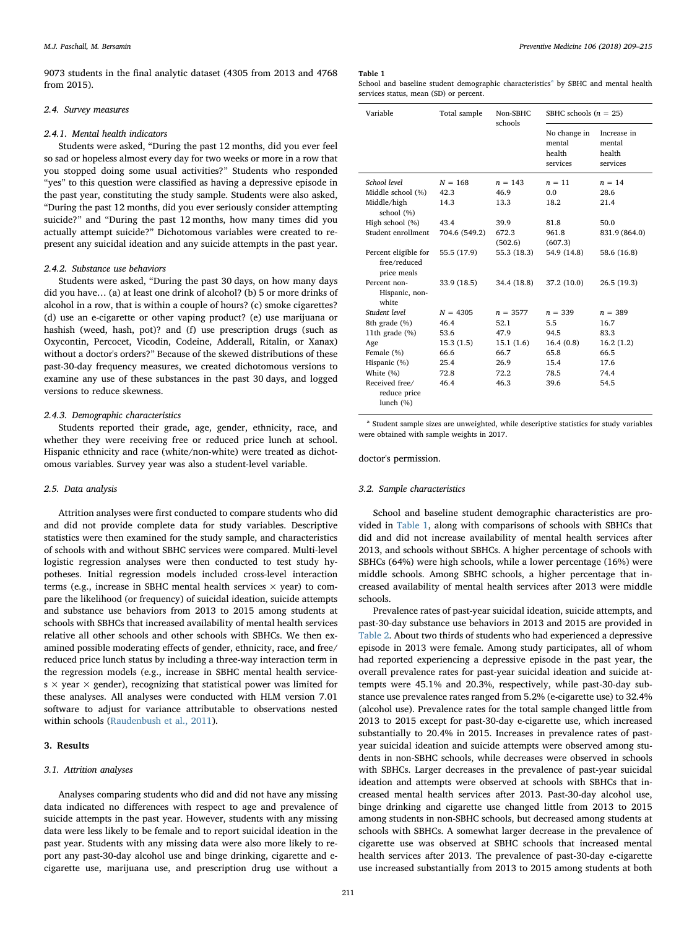9073 students in the final analytic dataset (4305 from 2013 and 4768 from 2015).

## 2.4. Survey measures

#### 2.4.1. Mental health indicators

Students were asked, "During the past 12 months, did you ever feel so sad or hopeless almost every day for two weeks or more in a row that you stopped doing some usual activities?" Students who responded "yes" to this question were classified as having a depressive episode in the past year, constituting the study sample. Students were also asked, "During the past 12 months, did you ever seriously consider attempting suicide?" and "During the past 12 months, how many times did you actually attempt suicide?" Dichotomous variables were created to represent any suicidal ideation and any suicide attempts in the past year.

### 2.4.2. Substance use behaviors

Students were asked, "During the past 30 days, on how many days did you have… (a) at least one drink of alcohol? (b) 5 or more drinks of alcohol in a row, that is within a couple of hours? (c) smoke cigarettes? (d) use an e-cigarette or other vaping product? (e) use marijuana or hashish (weed, hash, pot)? and (f) use prescription drugs (such as Oxycontin, Percocet, Vicodin, Codeine, Adderall, Ritalin, or Xanax) without a doctor's orders?" Because of the skewed distributions of these past-30-day frequency measures, we created dichotomous versions to examine any use of these substances in the past 30 days, and logged versions to reduce skewness.

## 2.4.3. Demographic characteristics

Students reported their grade, age, gender, ethnicity, race, and whether they were receiving free or reduced price lunch at school. Hispanic ethnicity and race (white/non-white) were treated as dichotomous variables. Survey year was also a student-level variable.

### 2.5. Data analysis

Attrition analyses were first conducted to compare students who did and did not provide complete data for study variables. Descriptive statistics were then examined for the study sample, and characteristics of schools with and without SBHC services were compared. Multi-level logistic regression analyses were then conducted to test study hypotheses. Initial regression models included cross-level interaction terms (e.g., increase in SBHC mental health services  $\times$  year) to compare the likelihood (or frequency) of suicidal ideation, suicide attempts and substance use behaviors from 2013 to 2015 among students at schools with SBHCs that increased availability of mental health services relative all other schools and other schools with SBHCs. We then examined possible moderating effects of gender, ethnicity, race, and free/ reduced price lunch status by including a three-way interaction term in the regression models (e.g., increase in SBHC mental health services  $\times$  year  $\times$  gender), recognizing that statistical power was limited for these analyses. All analyses were conducted with HLM version 7.01 software to adjust for variance attributable to observations nested within schools [\(Raudenbush et al., 2011](#page-6-13)).

### 3. Results

### 3.1. Attrition analyses

Analyses comparing students who did and did not have any missing data indicated no differences with respect to age and prevalence of suicide attempts in the past year. However, students with any missing data were less likely to be female and to report suicidal ideation in the past year. Students with any missing data were also more likely to report any past-30-day alcohol use and binge drinking, cigarette and ecigarette use, marijuana use, and prescription drug use without a

<span id="page-2-0"></span>Table 1

School [a](#page-2-1)nd baseline student demographic characteristics<sup>a</sup> by SBHC and mental health services status, mean (SD) or percent.

| Variable                                                       | Total sample              | Non-SBHC<br>schools       | SBHC schools $(n = 25)$                      |                                             |
|----------------------------------------------------------------|---------------------------|---------------------------|----------------------------------------------|---------------------------------------------|
|                                                                |                           |                           | No change in<br>mental<br>health<br>services | Increase in<br>mental<br>health<br>services |
| School level<br>Middle school (%)<br>Middle/high<br>school (%) | $N = 168$<br>42.3<br>14.3 | $n = 143$<br>46.9<br>13.3 | $n = 11$<br>0.0<br>18.2                      | $n = 14$<br>28.6<br>21.4                    |
| High school (%)                                                | 43.4                      | 39.9                      | 81.8                                         | 50.0                                        |
| Student enrollment                                             | 704.6 (549.2)             | 672.3<br>(502.6)          | 961.8<br>(607.3)                             | 831.9 (864.0)                               |
| Percent eligible for<br>free/reduced<br>price meals            | 55.5 (17.9)               | 55.3 (18.3)               | 54.9 (14.8)                                  | 58.6 (16.8)                                 |
| Percent non-<br>Hispanic, non-<br>white                        | 33.9 (18.5)               | 34.4 (18.8)               | 37.2 (10.0)                                  | 26.5 (19.3)                                 |
| Student level                                                  | $N = 4305$                | $n = 3577$                | $n = 339$                                    | $n = 389$                                   |
| 8th grade (%)                                                  | 46.4                      | 52.1                      | 5.5                                          | 16.7                                        |
| 11th grade $(\%)$                                              | 53.6                      | 47.9                      | 94.5                                         | 83.3                                        |
| Age                                                            | 15.3(1.5)                 | 15.1(1.6)                 | 16.4(0.8)                                    | 16.2(1.2)                                   |
| Female (%)                                                     | 66.6                      | 66.7                      | 65.8                                         | 66.5                                        |
| Hispanic (%)                                                   | 25.4                      | 26.9                      | 15.4                                         | 17.6                                        |
| White (%)                                                      | 72.8                      | 72.2                      | 78.5                                         | 74.4                                        |
| Received free/<br>reduce price<br>lunch (%)                    | 46.4                      | 46.3                      | 39.6                                         | 54.5                                        |

<span id="page-2-1"></span><sup>a</sup> Student sample sizes are unweighted, while descriptive statistics for study variables were obtained with sample weights in 2017.

doctor's permission.

#### 3.2. Sample characteristics

School and baseline student demographic characteristics are provided in [Table 1](#page-2-0), along with comparisons of schools with SBHCs that did and did not increase availability of mental health services after 2013, and schools without SBHCs. A higher percentage of schools with SBHCs (64%) were high schools, while a lower percentage (16%) were middle schools. Among SBHC schools, a higher percentage that increased availability of mental health services after 2013 were middle schools.

Prevalence rates of past-year suicidal ideation, suicide attempts, and past-30-day substance use behaviors in 2013 and 2015 are provided in [Table 2.](#page-3-0) About two thirds of students who had experienced a depressive episode in 2013 were female. Among study participates, all of whom had reported experiencing a depressive episode in the past year, the overall prevalence rates for past-year suicidal ideation and suicide attempts were 45.1% and 20.3%, respectively, while past-30-day substance use prevalence rates ranged from 5.2% (e-cigarette use) to 32.4% (alcohol use). Prevalence rates for the total sample changed little from 2013 to 2015 except for past-30-day e-cigarette use, which increased substantially to 20.4% in 2015. Increases in prevalence rates of pastyear suicidal ideation and suicide attempts were observed among students in non-SBHC schools, while decreases were observed in schools with SBHCs. Larger decreases in the prevalence of past-year suicidal ideation and attempts were observed at schools with SBHCs that increased mental health services after 2013. Past-30-day alcohol use, binge drinking and cigarette use changed little from 2013 to 2015 among students in non-SBHC schools, but decreased among students at schools with SBHCs. A somewhat larger decrease in the prevalence of cigarette use was observed at SBHC schools that increased mental health services after 2013. The prevalence of past-30-day e-cigarette use increased substantially from 2013 to 2015 among students at both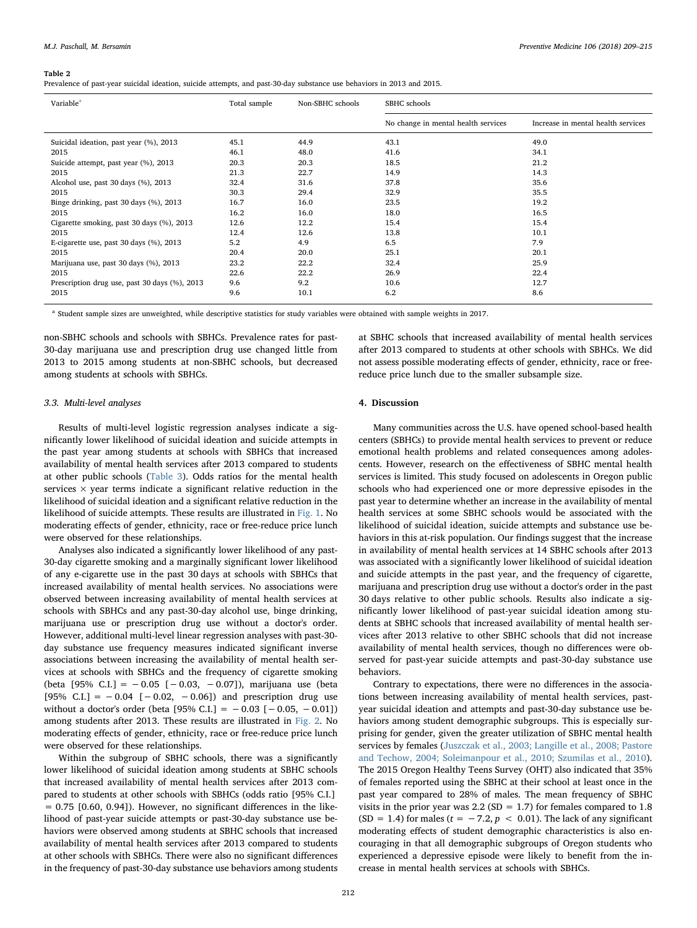#### <span id="page-3-0"></span>Table 2

Prevalence of past-year suicidal ideation, suicide attempts, and past-30-day substance use behaviors in 2013 and 2015.

| Variable <sup>a</sup>                         | Total sample | Non-SBHC schools | SBHC schools                        |                                    |  |
|-----------------------------------------------|--------------|------------------|-------------------------------------|------------------------------------|--|
|                                               |              |                  | No change in mental health services | Increase in mental health services |  |
| Suicidal ideation, past year (%), 2013        | 45.1         | 44.9             | 43.1                                | 49.0                               |  |
| 2015                                          | 46.1         | 48.0             | 41.6                                | 34.1                               |  |
| Suicide attempt, past year (%), 2013          | 20.3         | 20.3             | 18.5                                | 21.2                               |  |
| 2015                                          | 21.3         | 22.7             | 14.9                                | 14.3                               |  |
| Alcohol use, past 30 days (%), 2013           | 32.4         | 31.6             | 37.8                                | 35.6                               |  |
| 2015                                          | 30.3         | 29.4             | 32.9                                | 35.5                               |  |
| Binge drinking, past 30 days (%), 2013        | 16.7         | 16.0             | 23.5                                | 19.2                               |  |
| 2015                                          | 16.2         | 16.0             | 18.0                                | 16.5                               |  |
| Cigarette smoking, past 30 days (%), 2013     | 12.6         | 12.2             | 15.4                                | 15.4                               |  |
| 2015                                          | 12.4         | 12.6             | 13.8                                | 10.1                               |  |
| E-cigarette use, past 30 days (%), 2013       | 5.2          | 4.9              | 6.5                                 | 7.9                                |  |
| 2015                                          | 20.4         | 20.0             | 25.1                                | 20.1                               |  |
| Marijuana use, past 30 days (%), 2013         | 23.2         | 22.2             | 32.4                                | 25.9                               |  |
| 2015                                          | 22.6         | 22.2             | 26.9                                | 22.4                               |  |
| Prescription drug use, past 30 days (%), 2013 | 9.6          | 9.2              | 10.6                                | 12.7                               |  |
| 2015                                          | 9.6          | 10.1             | 6.2                                 | 8.6                                |  |

<span id="page-3-1"></span><sup>a</sup> Student sample sizes are unweighted, while descriptive statistics for study variables were obtained with sample weights in 2017.

non-SBHC schools and schools with SBHCs. Prevalence rates for past-30-day marijuana use and prescription drug use changed little from 2013 to 2015 among students at non-SBHC schools, but decreased among students at schools with SBHCs.

#### 3.3. Multi-level analyses

Results of multi-level logistic regression analyses indicate a significantly lower likelihood of suicidal ideation and suicide attempts in the past year among students at schools with SBHCs that increased availability of mental health services after 2013 compared to students at other public schools [\(Table 3\)](#page-4-0). Odds ratios for the mental health services  $\times$  year terms indicate a significant relative reduction in the likelihood of suicidal ideation and a significant relative reduction in the likelihood of suicide attempts. These results are illustrated in [Fig. 1](#page-4-1). No moderating effects of gender, ethnicity, race or free-reduce price lunch were observed for these relationships.

Analyses also indicated a significantly lower likelihood of any past-30-day cigarette smoking and a marginally significant lower likelihood of any e-cigarette use in the past 30 days at schools with SBHCs that increased availability of mental health services. No associations were observed between increasing availability of mental health services at schools with SBHCs and any past-30-day alcohol use, binge drinking, marijuana use or prescription drug use without a doctor's order. However, additional multi-level linear regression analyses with past-30 day substance use frequency measures indicated significant inverse associations between increasing the availability of mental health services at schools with SBHCs and the frequency of cigarette smoking (beta [95% C.I.] = −0.05 [−0.03, −0.07]), marijuana use (beta [95% C.I.] =  $-0.04$  [ $-0.02$ ,  $-0.06$ ]) and prescription drug use without a doctor's order (beta [95% C.I.] =  $-0.03$  [ $-0.05$ ,  $-0.01$ ]) among students after 2013. These results are illustrated in [Fig. 2](#page-5-0). No moderating effects of gender, ethnicity, race or free-reduce price lunch were observed for these relationships.

Within the subgroup of SBHC schools, there was a significantly lower likelihood of suicidal ideation among students at SBHC schools that increased availability of mental health services after 2013 compared to students at other schools with SBHCs (odds ratio [95% C.I.]  $= 0.75$  [0.60, 0.94]). However, no significant differences in the likelihood of past-year suicide attempts or past-30-day substance use behaviors were observed among students at SBHC schools that increased availability of mental health services after 2013 compared to students at other schools with SBHCs. There were also no significant differences in the frequency of past-30-day substance use behaviors among students

#### 4. Discussion

Many communities across the U.S. have opened school-based health centers (SBHCs) to provide mental health services to prevent or reduce emotional health problems and related consequences among adolescents. However, research on the effectiveness of SBHC mental health services is limited. This study focused on adolescents in Oregon public schools who had experienced one or more depressive episodes in the past year to determine whether an increase in the availability of mental health services at some SBHC schools would be associated with the likelihood of suicidal ideation, suicide attempts and substance use behaviors in this at-risk population. Our findings suggest that the increase in availability of mental health services at 14 SBHC schools after 2013 was associated with a significantly lower likelihood of suicidal ideation and suicide attempts in the past year, and the frequency of cigarette, marijuana and prescription drug use without a doctor's order in the past 30 days relative to other public schools. Results also indicate a significantly lower likelihood of past-year suicidal ideation among students at SBHC schools that increased availability of mental health services after 2013 relative to other SBHC schools that did not increase availability of mental health services, though no differences were observed for past-year suicide attempts and past-30-day substance use behaviors.

at SBHC schools that increased availability of mental health services after 2013 compared to students at other schools with SBHCs. We did not assess possible moderating effects of gender, ethnicity, race or free-

reduce price lunch due to the smaller subsample size.

Contrary to expectations, there were no differences in the associations between increasing availability of mental health services, pastyear suicidal ideation and attempts and past-30-day substance use behaviors among student demographic subgroups. This is especially surprising for gender, given the greater utilization of SBHC mental health services by females [\(Juszczak et al., 2003; Langille et al., 2008; Pastore](#page-6-11) [and Techow, 2004; Soleimanpour et al., 2010; Szumilas et al., 2010](#page-6-11)). The 2015 Oregon Healthy Teens Survey (OHT) also indicated that 35% of females reported using the SBHC at their school at least once in the past year compared to 28% of males. The mean frequency of SBHC visits in the prior year was 2.2 (SD = 1.7) for females compared to 1.8 (SD = 1.4) for males ( $t = -7.2$ ,  $p < 0.01$ ). The lack of any significant moderating effects of student demographic characteristics is also encouraging in that all demographic subgroups of Oregon students who experienced a depressive episode were likely to benefit from the increase in mental health services at schools with SBHCs.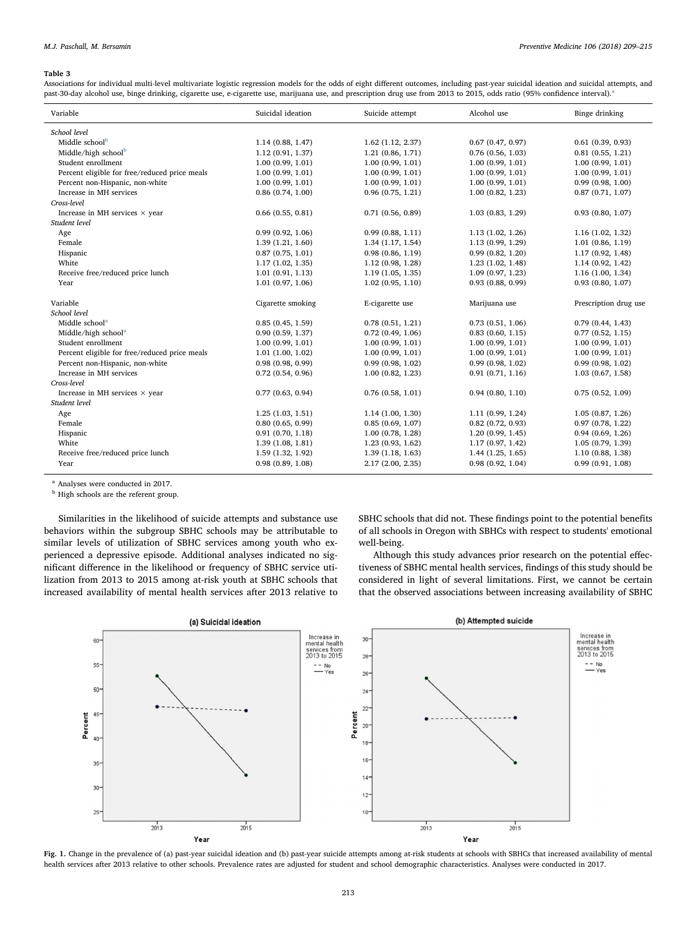#### <span id="page-4-0"></span>Table 3

Associations for individual multi-level multivariate logistic regression models for the odds of eight different outcomes, including past-year suicidal ideation and suicidal attempts, and p[a](#page-4-2)st-30-day alcohol use, binge drinking, cigarette use, e-cigarette use, marijuana use, and prescription drug use from 2013 to 2015, odds ratio (95% confidence interval).<sup>a</sup>

| Variable                                      | Suicidal ideation | Suicide attempt  | Alcohol use           | Binge drinking        |
|-----------------------------------------------|-------------------|------------------|-----------------------|-----------------------|
| School level                                  |                   |                  |                       |                       |
| Middle school <sup>b</sup>                    | 1.14(0.88, 1.47)  | 1.62(1.12, 2.37) | 0.67(0.47, 0.97)      | 0.61(0.39, 0.93)      |
| Middle/high schoolb                           | 1.12(0.91, 1.37)  | 1.21(0.86, 1.71) | 0.76(0.56, 1.03)      | 0.81(0.55, 1.21)      |
| Student enrollment                            | 1.00(0.99, 1.01)  | 1.00(0.99, 1.01) | 1.00(0.99, 1.01)      | 1.00(0.99, 1.01)      |
| Percent eligible for free/reduced price meals | 1.00(0.99, 1.01)  | 1.00(0.99, 1.01) | 1.00(0.99, 1.01)      | 1.00(0.99, 1.01)      |
| Percent non-Hispanic, non-white               | 1.00(0.99, 1.01)  | 1.00(0.99, 1.01) | 1.00(0.99, 1.01)      | 0.99(0.98, 1.00)      |
| Increase in MH services                       | 0.86(0.74, 1.00)  | 0.96(0.75, 1.21) | 1.00(0.82, 1.23)      | 0.87(0.71, 1.07)      |
| Cross-level                                   |                   |                  |                       |                       |
| Increase in MH services $\times$ year         | 0.66(0.55, 0.81)  | 0.71(0.56, 0.89) | 1.03(0.83, 1.29)      | 0.93(0.80, 1.07)      |
| Student level                                 |                   |                  |                       |                       |
| Age                                           | 0.99(0.92, 1.06)  | 0.99(0.88, 1.11) | 1.13(1.02, 1.26)      | 1.16(1.02, 1.32)      |
| Female                                        | 1.39(1.21, 1.60)  | 1.34(1.17, 1.54) | 1.13 (0.99, 1.29)     | 1.01(0.86, 1.19)      |
| Hispanic                                      | 0.87(0.75, 1.01)  | 0.98(0.86, 1.19) | 0.99(0.82, 1.20)      | 1.17(0.92, 1.48)      |
| White                                         | 1.17(1.02, 1.35)  | 1.12(0.98, 1.28) | 1.23(1.02, 1.48)      | 1.14(0.92, 1.42)      |
| Receive free/reduced price lunch              | 1.01(0.91, 1.13)  | 1.19(1.05, 1.35) | 1.09(0.97, 1.23)      | 1.16(1.00, 1.34)      |
| Year                                          | 1.01(0.97, 1.06)  | 1.02(0.95, 1.10) | 0.93(0.88, 0.99)      | 0.93(0.80, 1.07)      |
| Variable                                      | Cigarette smoking | E-cigarette use  | Marijuana use         | Prescription drug use |
| School level                                  |                   |                  |                       |                       |
| Middle school <sup>a</sup>                    | 0.85(0.45, 1.59)  | 0.78(0.51, 1.21) | 0.73(0.51, 1.06)      | 0.79(0.44, 1.43)      |
| Middle/high school <sup>a</sup>               | 0.90(0.59, 1.37)  | 0.72(0.49, 1.06) | 0.83(0.60, 1.15)      | 0.77(0.52, 1.15)      |
| Student enrollment                            | 1.00(0.99, 1.01)  | 1.00(0.99, 1.01) | 1.00(0.99, 1.01)      | 1.00(0.99, 1.01)      |
| Percent eligible for free/reduced price meals | 1.01(1.00, 1.02)  | 1.00(0.99, 1.01) | 1.00(0.99, 1.01)      | 1.00(0.99, 1.01)      |
| Percent non-Hispanic, non-white               | 0.98(0.98, 0.99)  | 0.99(0.98, 1.02) | 0.99(0.98, 1.02)      | 0.99(0.98, 1.02)      |
| Increase in MH services                       | 0.72(0.54, 0.96)  | 1.00(0.82, 1.23) | 0.91(0.71, 1.16)      | 1.03(0.67, 1.58)      |
| Cross-level                                   |                   |                  |                       |                       |
| Increase in MH services $\times$ year         | 0.77(0.63, 0.94)  | 0.76(0.58, 1.01) | 0.94(0.80, 1.10)      | 0.75(0.52, 1.09)      |
| Student level                                 |                   |                  |                       |                       |
| Age                                           | 1.25(1.03, 1.51)  | 1.14(1.00, 1.30) | 1.11(0.99, 1.24)      | 1.05(0.87, 1.26)      |
| Female                                        | 0.80(0.65, 0.99)  | 0.85(0.69, 1.07) | $0.82$ $(0.72, 0.93)$ | 0.97(0.78, 1.22)      |
| Hispanic                                      | 0.91(0.70, 1.18)  | 1.00(0.78, 1.28) | 1.20(0.99, 1.45)      | 0.94(0.69, 1.26)      |
| White                                         | 1.39(1.08, 1.81)  | 1.23(0.93, 1.62) | 1.17(0.97, 1.42)      | 1.05(0.79, 1.39)      |
| Receive free/reduced price lunch              | 1.59 (1.32, 1.92) | 1.39(1.18, 1.63) | 1.44(1.25, 1.65)      | 1.10(0.88, 1.38)      |
| Year                                          | 0.98(0.89, 1.08)  | 2.17(2.00, 2.35) | 0.98(0.92, 1.04)      | 0.99(0.91, 1.08)      |

<span id="page-4-2"></span><sup>a</sup> Analyses were conducted in 2017.

<span id="page-4-3"></span> $<sup>b</sup>$  High schools are the referent group.</sup>

Similarities in the likelihood of suicide attempts and substance use behaviors within the subgroup SBHC schools may be attributable to similar levels of utilization of SBHC services among youth who experienced a depressive episode. Additional analyses indicated no significant difference in the likelihood or frequency of SBHC service utilization from 2013 to 2015 among at-risk youth at SBHC schools that increased availability of mental health services after 2013 relative to SBHC schools that did not. These findings point to the potential benefits of all schools in Oregon with SBHCs with respect to students' emotional well-being.

Although this study advances prior research on the potential effectiveness of SBHC mental health services, findings of this study should be considered in light of several limitations. First, we cannot be certain that the observed associations between increasing availability of SBHC

<span id="page-4-1"></span>

Fig. 1. Change in the prevalence of (a) past-year suicidal ideation and (b) past-year suicide attempts among at-risk students at schools with SBHCs that increased availability of mental health services after 2013 relative to other schools. Prevalence rates are adjusted for student and school demographic characteristics. Analyses were conducted in 2017.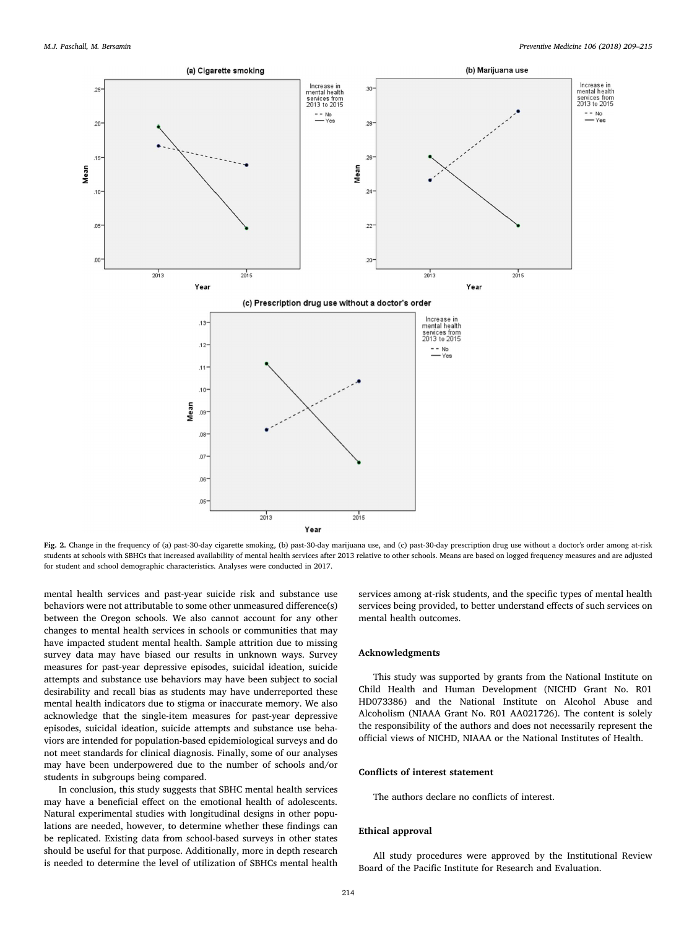<span id="page-5-0"></span>

Fig. 2. Change in the frequency of (a) past-30-day cigarette smoking, (b) past-30-day marijuana use, and (c) past-30-day prescription drug use without a doctor's order among at-risk students at schools with SBHCs that increased availability of mental health services after 2013 relative to other schools. Means are based on logged frequency measures and are adjusted for student and school demographic characteristics. Analyses were conducted in 2017.

mental health services and past-year suicide risk and substance use behaviors were not attributable to some other unmeasured difference(s) between the Oregon schools. We also cannot account for any other changes to mental health services in schools or communities that may have impacted student mental health. Sample attrition due to missing survey data may have biased our results in unknown ways. Survey measures for past-year depressive episodes, suicidal ideation, suicide attempts and substance use behaviors may have been subject to social desirability and recall bias as students may have underreported these mental health indicators due to stigma or inaccurate memory. We also acknowledge that the single-item measures for past-year depressive episodes, suicidal ideation, suicide attempts and substance use behaviors are intended for population-based epidemiological surveys and do not meet standards for clinical diagnosis. Finally, some of our analyses may have been underpowered due to the number of schools and/or students in subgroups being compared.

In conclusion, this study suggests that SBHC mental health services may have a beneficial effect on the emotional health of adolescents. Natural experimental studies with longitudinal designs in other populations are needed, however, to determine whether these findings can be replicated. Existing data from school-based surveys in other states should be useful for that purpose. Additionally, more in depth research is needed to determine the level of utilization of SBHCs mental health

services among at-risk students, and the specific types of mental health services being provided, to better understand effects of such services on mental health outcomes.

### Acknowledgments

This study was supported by grants from the National Institute on Child Health and Human Development (NICHD Grant No. R01 HD073386) and the National Institute on Alcohol Abuse and Alcoholism (NIAAA Grant No. R01 AA021726). The content is solely the responsibility of the authors and does not necessarily represent the official views of NICHD, NIAAA or the National Institutes of Health.

### Conflicts of interest statement

The authors declare no conflicts of interest.

#### Ethical approval

All study procedures were approved by the Institutional Review Board of the Pacific Institute for Research and Evaluation.